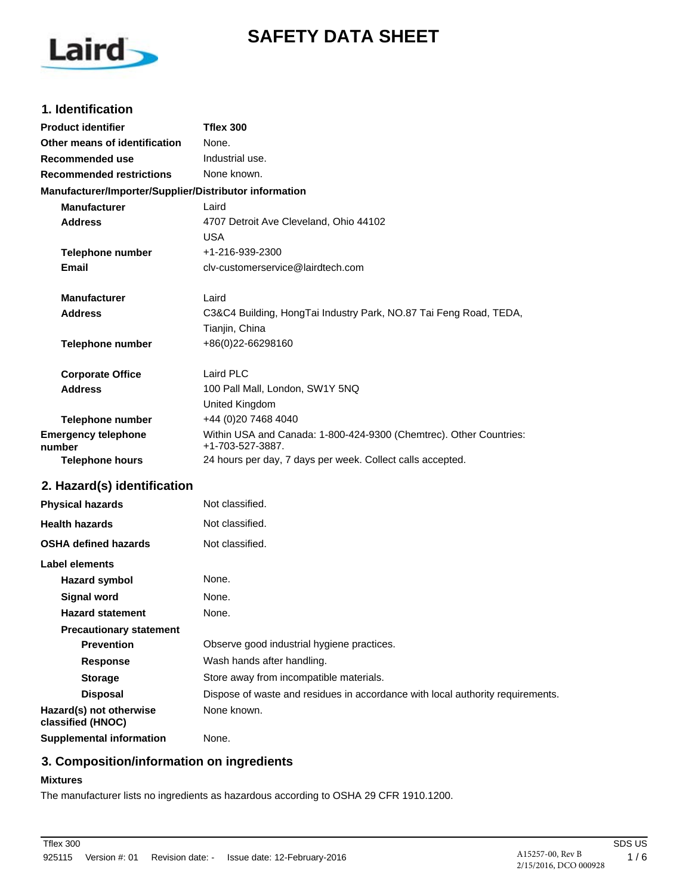# **SAFETY DATA SHEET**



## **1. Identification**

| <b>Product identifier</b>                              | Tflex 300                                                                              |
|--------------------------------------------------------|----------------------------------------------------------------------------------------|
| Other means of identification                          | None.                                                                                  |
| Recommended use                                        | Industrial use.                                                                        |
| <b>Recommended restrictions</b>                        | None known.                                                                            |
| Manufacturer/Importer/Supplier/Distributor information |                                                                                        |
| <b>Manufacturer</b>                                    | Laird                                                                                  |
| <b>Address</b>                                         | 4707 Detroit Ave Cleveland, Ohio 44102                                                 |
|                                                        | <b>USA</b>                                                                             |
| <b>Telephone number</b>                                | +1-216-939-2300                                                                        |
| Email                                                  | cly-customerservice@lairdtech.com                                                      |
| Manufacturer                                           | Laird                                                                                  |
| Address                                                | C3&C4 Building, HongTai Industry Park, NO.87 Tai Feng Road, TEDA,                      |
|                                                        | Tianjin, China                                                                         |
| <b>Telephone number</b>                                | +86(0)22-66298160                                                                      |
| <b>Corporate Office</b>                                | Laird PLC                                                                              |
| <b>Address</b>                                         | 100 Pall Mall, London, SW1Y 5NQ                                                        |
|                                                        | United Kingdom                                                                         |
| <b>Telephone number</b>                                | +44 (0)20 7468 4040                                                                    |
| <b>Emergency telephone</b><br>number                   | Within USA and Canada: 1-800-424-9300 (Chemtrec). Other Countries:<br>+1-703-527-3887. |
| <b>Telephone hours</b>                                 | 24 hours per day, 7 days per week. Collect calls accepted.                             |
| 2. Hazard(s) identification                            |                                                                                        |
| <b>Physical hazards</b>                                | Not classified.                                                                        |
| <b>Health hazards</b>                                  | Not classified.                                                                        |
| <b>OSHA defined hazards</b>                            | Not classified.                                                                        |
| Label elements                                         |                                                                                        |
| <b>Hazard symbol</b>                                   | None.                                                                                  |
| <b>Signal word</b>                                     | None.                                                                                  |
| <b>Hazard statement</b>                                | None.                                                                                  |
| <b>Precautionary statement</b>                         |                                                                                        |
| <b>Prevention</b>                                      | Observe good industrial hygiene practices.                                             |
| <b>Response</b>                                        | Wash hands after handling.                                                             |
| <b>Storage</b>                                         | Store away from incompatible materials.                                                |
| <b>Disposal</b>                                        | Dispose of waste and residues in accordance with local authority requirements.         |
| Hazard(s) not otherwise<br>classified (HNOC)           | None known.                                                                            |
| <b>Supplemental information</b>                        | None.                                                                                  |

# **3. Composition/information on ingredients**

#### **Mixtures**

The manufacturer lists no ingredients as hazardous according to OSHA 29 CFR 1910.1200.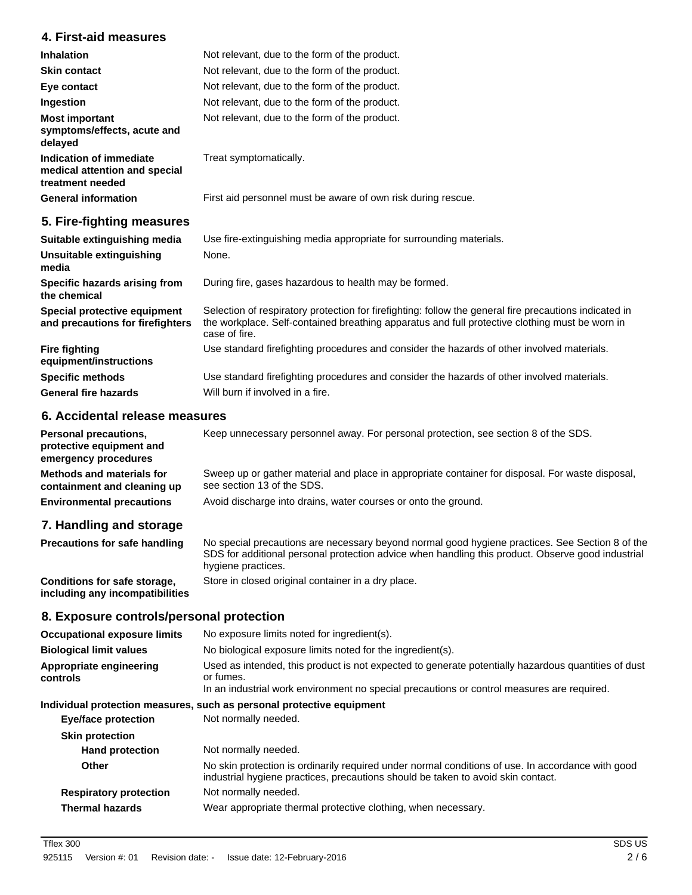# **4. First-aid measures**

| <b>Inhalation</b>                                                            | Not relevant, due to the form of the product.                                                                                                                                                                             |
|------------------------------------------------------------------------------|---------------------------------------------------------------------------------------------------------------------------------------------------------------------------------------------------------------------------|
| <b>Skin contact</b>                                                          | Not relevant, due to the form of the product.                                                                                                                                                                             |
| Eye contact                                                                  | Not relevant, due to the form of the product.                                                                                                                                                                             |
| Ingestion                                                                    | Not relevant, due to the form of the product.                                                                                                                                                                             |
| <b>Most important</b><br>symptoms/effects, acute and<br>delayed              | Not relevant, due to the form of the product.                                                                                                                                                                             |
| Indication of immediate<br>medical attention and special<br>treatment needed | Treat symptomatically.                                                                                                                                                                                                    |
| <b>General information</b>                                                   | First aid personnel must be aware of own risk during rescue.                                                                                                                                                              |
| 5. Fire-fighting measures                                                    |                                                                                                                                                                                                                           |
| Suitable extinguishing media                                                 | Use fire-extinguishing media appropriate for surrounding materials.                                                                                                                                                       |
| Unsuitable extinguishing<br>media                                            | None.                                                                                                                                                                                                                     |
| Specific hazards arising from<br>the chemical                                | During fire, gases hazardous to health may be formed.                                                                                                                                                                     |
| Special protective equipment<br>and precautions for firefighters             | Selection of respiratory protection for firefighting: follow the general fire precautions indicated in<br>the workplace. Self-contained breathing apparatus and full protective clothing must be worn in<br>case of fire. |
| <b>Fire fighting</b><br>equipment/instructions                               | Use standard firefighting procedures and consider the hazards of other involved materials.                                                                                                                                |
| <b>Specific methods</b>                                                      | Use standard firefighting procedures and consider the hazards of other involved materials.                                                                                                                                |

**6. Accidental release measures**

**General fire hazards** Will burn if involved in a fire.

**Personal precautions,** Keep unnecessary personnel away. For personal protection, see section 8 of the SDS. **protective equipment and emergency procedures** Sweep up or gather material and place in appropriate container for disposal. For waste disposal, see section 13 of the SDS. **Methods and materials for containment and cleaning up Environmental precautions** Avoid discharge into drains, water courses or onto the ground.

#### **7. Handling and storage**

| <b>Precautions for safe handling</b>                            | No special precautions are necessary beyond normal good hygiene practices. See Section 8 of the<br>SDS for additional personal protection advice when handling this product. Observe good industrial<br>hygiene practices. |
|-----------------------------------------------------------------|----------------------------------------------------------------------------------------------------------------------------------------------------------------------------------------------------------------------------|
| Conditions for safe storage,<br>including any incompatibilities | Store in closed original container in a dry place.                                                                                                                                                                         |

#### **8. Exposure controls/personal protection**

| <b>Occupational exposure limits</b> | No exposure limits noted for ingredient(s).                                                                                                                                                                    |  |
|-------------------------------------|----------------------------------------------------------------------------------------------------------------------------------------------------------------------------------------------------------------|--|
| <b>Biological limit values</b>      | No biological exposure limits noted for the ingredient(s).                                                                                                                                                     |  |
| Appropriate engineering<br>controls | Used as intended, this product is not expected to generate potentially hazardous quantities of dust<br>or fumes.<br>In an industrial work environment no special precautions or control measures are required. |  |
|                                     | Individual protection measures, such as personal protective equipment                                                                                                                                          |  |
| Eye/face protection                 | Not normally needed.                                                                                                                                                                                           |  |
| <b>Skin protection</b>              |                                                                                                                                                                                                                |  |
| <b>Hand protection</b>              | Not normally needed.                                                                                                                                                                                           |  |
| Other                               | No skin protection is ordinarily required under normal conditions of use. In accordance with good<br>industrial hygiene practices, precautions should be taken to avoid skin contact.                          |  |
| <b>Respiratory protection</b>       | Not normally needed.                                                                                                                                                                                           |  |
| <b>Thermal hazards</b>              | Wear appropriate thermal protective clothing, when necessary.                                                                                                                                                  |  |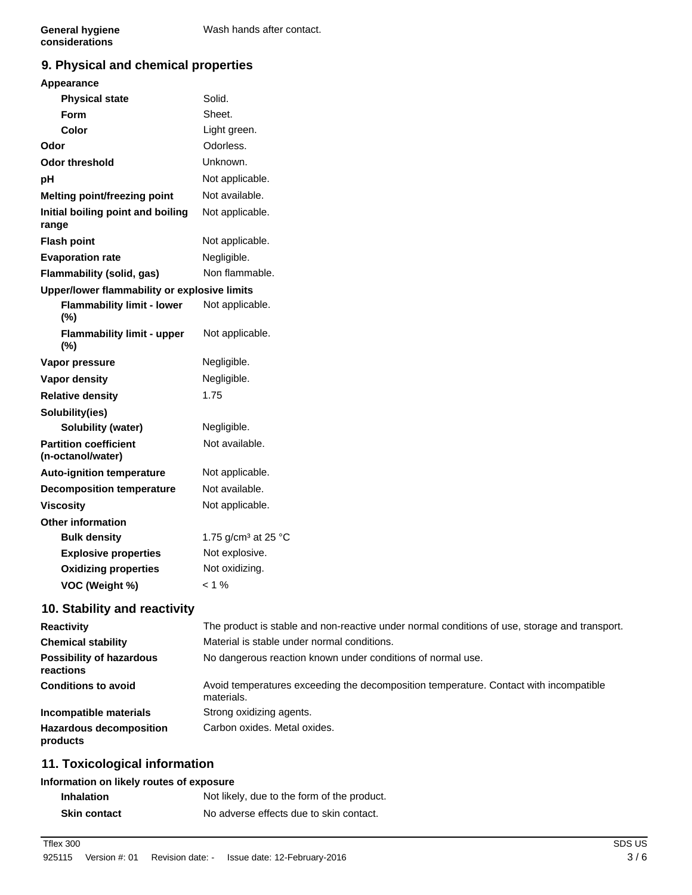# **9. Physical and chemical properties**

#### **Appearance**

| <b>Physical state</b>                             | Solid.                          |
|---------------------------------------------------|---------------------------------|
| Form                                              | Sheet.                          |
| Color                                             | Light green.                    |
| Odor                                              | Odorless.                       |
| <b>Odor threshold</b>                             | Unknown.                        |
| pH                                                | Not applicable.                 |
| Melting point/freezing point                      | Not available.                  |
| Initial boiling point and boiling<br>range        | Not applicable.                 |
| <b>Flash point</b>                                | Not applicable.                 |
| <b>Evaporation rate</b>                           | Negligible.                     |
| Flammability (solid, gas)                         | Non flammable.                  |
| Upper/lower flammability or explosive limits      |                                 |
| <b>Flammability limit - lower</b><br>(%)          | Not applicable.                 |
| <b>Flammability limit - upper</b><br>(%)          | Not applicable.                 |
| Vapor pressure                                    | Negligible.                     |
| Vapor density                                     | Negligible.                     |
| <b>Relative density</b>                           | 1.75                            |
| Solubility(ies)                                   |                                 |
| Solubility (water)                                | Negligible.                     |
| <b>Partition coefficient</b><br>(n-octanol/water) | Not available.                  |
| <b>Auto-ignition temperature</b>                  | Not applicable.                 |
| <b>Decomposition temperature</b>                  | Not available.                  |
| <b>Viscosity</b>                                  | Not applicable.                 |
| <b>Other information</b>                          |                                 |
| <b>Bulk density</b>                               | 1.75 g/cm <sup>3</sup> at 25 °C |
| <b>Explosive properties</b>                       | Not explosive.                  |
| <b>Oxidizing properties</b>                       | Not oxidizing.                  |
| VOC (Weight %)                                    | $< 1 \%$                        |
|                                                   |                                 |

#### **10. Stability and reactivity**

| <b>Reactivity</b>                            | The product is stable and non-reactive under normal conditions of use, storage and transport.       |
|----------------------------------------------|-----------------------------------------------------------------------------------------------------|
| <b>Chemical stability</b>                    | Material is stable under normal conditions.                                                         |
| <b>Possibility of hazardous</b><br>reactions | No dangerous reaction known under conditions of normal use.                                         |
| <b>Conditions to avoid</b>                   | Avoid temperatures exceeding the decomposition temperature. Contact with incompatible<br>materials. |
| Incompatible materials                       | Strong oxidizing agents.                                                                            |
| <b>Hazardous decomposition</b><br>products   | Carbon oxides. Metal oxides.                                                                        |

# **11. Toxicological information**

#### **Information on likely routes of exposure**

| <b>Inhalation</b>   | Not likely, due to the form of the product. |
|---------------------|---------------------------------------------|
| <b>Skin contact</b> | No adverse effects due to skin contact.     |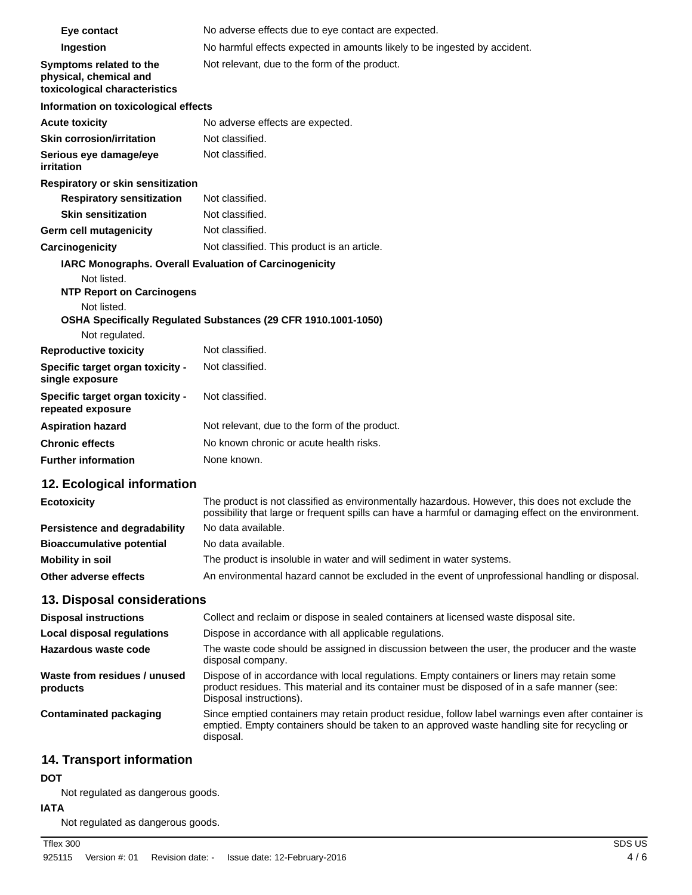| Eye contact                                                                        | No adverse effects due to eye contact are expected.                                                                                                                                                                    |
|------------------------------------------------------------------------------------|------------------------------------------------------------------------------------------------------------------------------------------------------------------------------------------------------------------------|
| Ingestion                                                                          | No harmful effects expected in amounts likely to be ingested by accident.                                                                                                                                              |
| Symptoms related to the<br>physical, chemical and<br>toxicological characteristics | Not relevant, due to the form of the product.                                                                                                                                                                          |
| Information on toxicological effects                                               |                                                                                                                                                                                                                        |
| <b>Acute toxicity</b>                                                              | No adverse effects are expected.                                                                                                                                                                                       |
| <b>Skin corrosion/irritation</b>                                                   | Not classified.                                                                                                                                                                                                        |
| Serious eye damage/eye<br>irritation                                               | Not classified.                                                                                                                                                                                                        |
| Respiratory or skin sensitization                                                  |                                                                                                                                                                                                                        |
| <b>Respiratory sensitization</b>                                                   | Not classified.                                                                                                                                                                                                        |
| <b>Skin sensitization</b>                                                          | Not classified.                                                                                                                                                                                                        |
| Germ cell mutagenicity                                                             | Not classified.                                                                                                                                                                                                        |
| Carcinogenicity                                                                    | Not classified. This product is an article.                                                                                                                                                                            |
| IARC Monographs. Overall Evaluation of Carcinogenicity                             |                                                                                                                                                                                                                        |
| Not listed.<br><b>NTP Report on Carcinogens</b>                                    |                                                                                                                                                                                                                        |
| Not listed.                                                                        | OSHA Specifically Regulated Substances (29 CFR 1910.1001-1050)                                                                                                                                                         |
| Not regulated.                                                                     |                                                                                                                                                                                                                        |
| <b>Reproductive toxicity</b>                                                       | Not classified.                                                                                                                                                                                                        |
| Specific target organ toxicity -<br>single exposure                                | Not classified.                                                                                                                                                                                                        |
| Specific target organ toxicity -<br>repeated exposure                              | Not classified.                                                                                                                                                                                                        |
| <b>Aspiration hazard</b>                                                           | Not relevant, due to the form of the product.                                                                                                                                                                          |
| <b>Chronic effects</b>                                                             | No known chronic or acute health risks.                                                                                                                                                                                |
| <b>Further information</b>                                                         | None known.                                                                                                                                                                                                            |
| 12. Ecological information                                                         |                                                                                                                                                                                                                        |
| <b>Ecotoxicity</b>                                                                 | The product is not classified as environmentally hazardous. However, this does not exclude the<br>possibility that large or frequent spills can have a harmful or damaging effect on the environment.                  |
| <b>Persistence and degradability</b>                                               | No data available.                                                                                                                                                                                                     |
| <b>Bioaccumulative potential</b>                                                   | No data available.                                                                                                                                                                                                     |
| <b>Mobility in soil</b>                                                            | The product is insoluble in water and will sediment in water systems.                                                                                                                                                  |
| Other adverse effects                                                              | An environmental hazard cannot be excluded in the event of unprofessional handling or disposal.                                                                                                                        |
| 13. Disposal considerations                                                        |                                                                                                                                                                                                                        |
| <b>Disposal instructions</b>                                                       | Collect and reclaim or dispose in sealed containers at licensed waste disposal site.                                                                                                                                   |
| Local disposal regulations                                                         | Dispose in accordance with all applicable regulations.                                                                                                                                                                 |
| Hazardous waste code                                                               | The waste code should be assigned in discussion between the user, the producer and the waste<br>disposal company.                                                                                                      |
| Waste from residues / unused<br>products                                           | Dispose of in accordance with local regulations. Empty containers or liners may retain some<br>product residues. This material and its container must be disposed of in a safe manner (see:<br>Disposal instructions). |
| <b>Contaminated packaging</b>                                                      | Since emptied containers may retain product residue, follow label warnings even after container is<br>emptied. Empty containers should be taken to an approved waste handling site for recycling or<br>disposal.       |
| 14. Transport information                                                          |                                                                                                                                                                                                                        |

# **DOT**

Not regulated as dangerous goods.

# **IATA**

Not regulated as dangerous goods.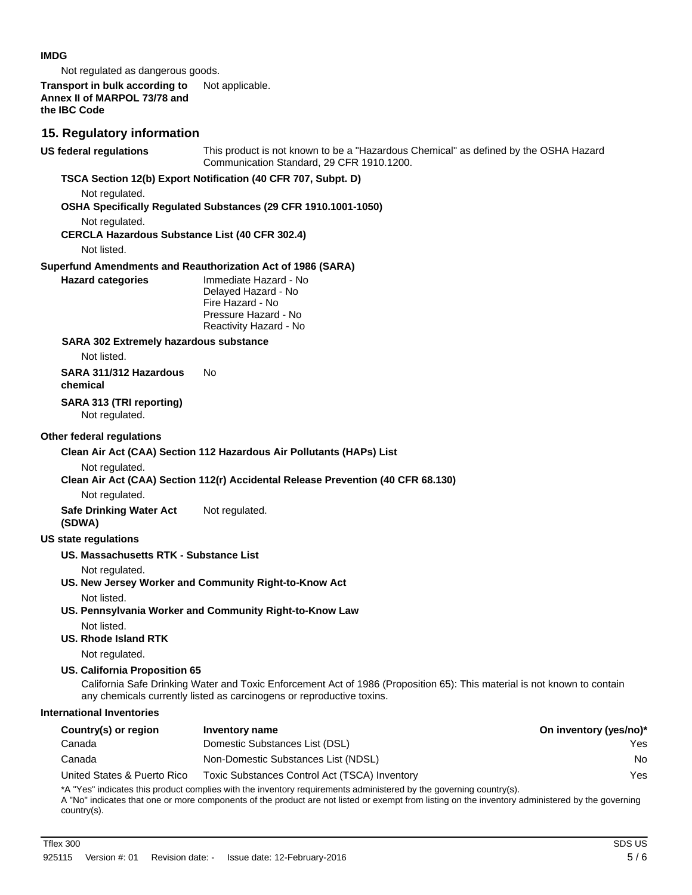#### **IMDG**

Not regulated as dangerous goods.

#### **Transport in bulk according to** Not applicable. **Annex II of MARPOL 73/78 and the IBC Code**

# **15. Regulatory information**

| <b>US federal regulations</b>                         | This product is not known to be a "Hazardous Chemical" as defined by the OSHA Hazard<br>Communication Standard, 29 CFR 1910.1200.                                                                                                                                      |                        |
|-------------------------------------------------------|------------------------------------------------------------------------------------------------------------------------------------------------------------------------------------------------------------------------------------------------------------------------|------------------------|
|                                                       | TSCA Section 12(b) Export Notification (40 CFR 707, Subpt. D)                                                                                                                                                                                                          |                        |
| Not regulated.                                        | OSHA Specifically Regulated Substances (29 CFR 1910.1001-1050)                                                                                                                                                                                                         |                        |
| Not regulated.                                        |                                                                                                                                                                                                                                                                        |                        |
| <b>CERCLA Hazardous Substance List (40 CFR 302.4)</b> |                                                                                                                                                                                                                                                                        |                        |
| Not listed.                                           |                                                                                                                                                                                                                                                                        |                        |
| <b>Hazard categories</b>                              | Superfund Amendments and Reauthorization Act of 1986 (SARA)<br>Immediate Hazard - No                                                                                                                                                                                   |                        |
|                                                       | Delayed Hazard - No<br>Fire Hazard - No<br>Pressure Hazard - No<br>Reactivity Hazard - No                                                                                                                                                                              |                        |
| SARA 302 Extremely hazardous substance                |                                                                                                                                                                                                                                                                        |                        |
| Not listed.                                           |                                                                                                                                                                                                                                                                        |                        |
| SARA 311/312 Hazardous<br>chemical                    | No.                                                                                                                                                                                                                                                                    |                        |
| SARA 313 (TRI reporting)<br>Not regulated.            |                                                                                                                                                                                                                                                                        |                        |
| Other federal regulations                             |                                                                                                                                                                                                                                                                        |                        |
|                                                       | Clean Air Act (CAA) Section 112 Hazardous Air Pollutants (HAPs) List                                                                                                                                                                                                   |                        |
| Not regulated.                                        |                                                                                                                                                                                                                                                                        |                        |
|                                                       | Clean Air Act (CAA) Section 112(r) Accidental Release Prevention (40 CFR 68.130)                                                                                                                                                                                       |                        |
| Not regulated.                                        |                                                                                                                                                                                                                                                                        |                        |
| <b>Safe Drinking Water Act</b><br>(SDWA)              | Not regulated.                                                                                                                                                                                                                                                         |                        |
| <b>US state regulations</b>                           |                                                                                                                                                                                                                                                                        |                        |
| US. Massachusetts RTK - Substance List                |                                                                                                                                                                                                                                                                        |                        |
| Not regulated.                                        | US. New Jersey Worker and Community Right-to-Know Act                                                                                                                                                                                                                  |                        |
| Not listed.                                           | US. Pennsylvania Worker and Community Right-to-Know Law                                                                                                                                                                                                                |                        |
| Not listed.<br>US. Rhode Island RTK                   |                                                                                                                                                                                                                                                                        |                        |
| Not regulated.                                        |                                                                                                                                                                                                                                                                        |                        |
| <b>US. California Proposition 65</b>                  | California Safe Drinking Water and Toxic Enforcement Act of 1986 (Proposition 65): This material is not known to contain<br>any chemicals currently listed as carcinogens or reproductive toxins.                                                                      |                        |
| <b>International Inventories</b>                      |                                                                                                                                                                                                                                                                        |                        |
| Country(s) or region                                  | <b>Inventory name</b>                                                                                                                                                                                                                                                  | On inventory (yes/no)* |
| Canada                                                | Domestic Substances List (DSL)                                                                                                                                                                                                                                         | Yes                    |
| Canada                                                | Non-Domestic Substances List (NDSL)                                                                                                                                                                                                                                    | No                     |
| United States & Puerto Rico                           | Toxic Substances Control Act (TSCA) Inventory                                                                                                                                                                                                                          | Yes                    |
|                                                       | *A "Yes" indicates this product complies with the inventory requirements administered by the governing country(s).<br>A "No" indicates that one or more components of the product are not listed or exempt from listing on the inventory administered by the governing |                        |

A "No" indicates that one or more components of the product are not listed or exempt from listing on the inventory administered by the governing country(s).